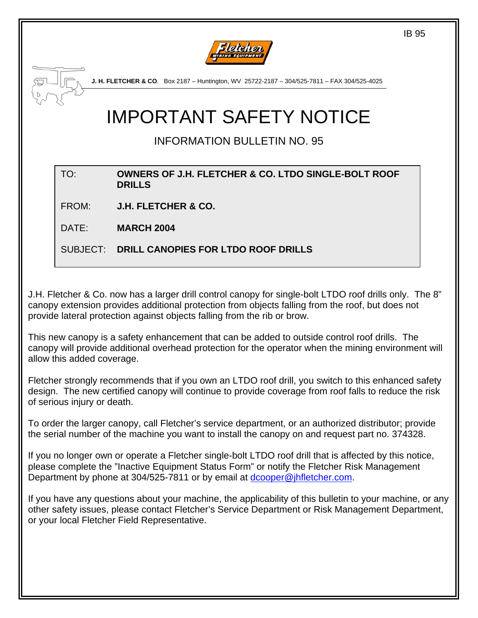

**J. H. FLETCHER & CO**. Box 2187 – Huntington, WV 25722-2187 – 304/525-7811 – FAX 304/525-4025

# IMPORTANT SAFETY NOTICE

INFORMATION BULLETIN NO. 95

#### TO: **OWNERS OF J.H. FLETCHER & CO. LTDO SINGLE-BOLT ROOF DRILLS**

FROM: **J.H. FLETCHER & CO.**

DATE: **MARCH 2004**

SUBJECT: **DRILL CANOPIES FOR LTDO ROOF DRILLS**

J.H. Fletcher & Co. now has a larger drill control canopy for single-bolt LTDO roof drills only. The 8" canopy extension provides additional protection from objects falling from the roof, but does not provide lateral protection against objects falling from the rib or brow.

This new canopy is a safety enhancement that can be added to outside control roof drills. The canopy will provide additional overhead protection for the operator when the mining environment will allow this added coverage.

Fletcher strongly recommends that if you own an LTDO roof drill, you switch to this enhanced safety design. The new certified canopy will continue to provide coverage from roof falls to reduce the risk of serious injury or death.

To order the larger canopy, call Fletcher's service department, or an authorized distributor; provide the serial number of the machine you want to install the canopy on and request part no. 374328.

If you no longer own or operate a Fletcher single-bolt LTDO roof drill that is affected by this notice, please complete the "Inactive Equipment Status Form" or notify the Fletcher Risk Management Department by phone at 304/525-7811 or by email at [dcooper@jhfletcher.com](mailto:dcooper@jhfletcher.com).

If you have any questions about your machine, the applicability of this bulletin to your machine, or any other safety issues, please contact Fletcher's Service Department or Risk Management Department, or your local Fletcher Field Representative.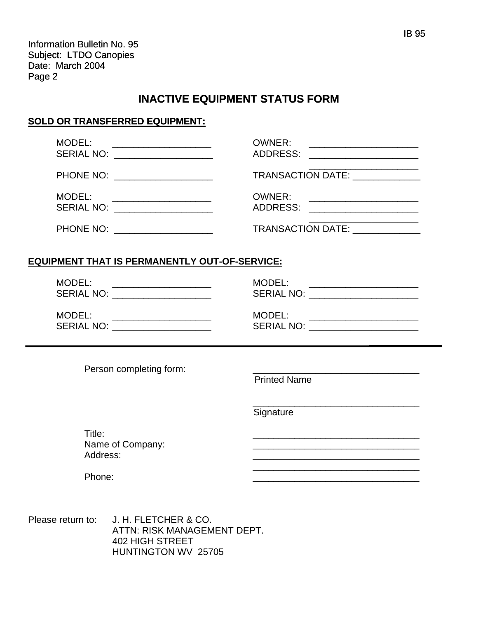Information Bulletin No. 95 Subject: LTDO Canopies Date: March 2004 Page 2

# **INACTIVE EQUIPMENT STATUS FORM**

## **SOLD OR TRANSFERRED EQUIPMENT:**

| MODEL:<br>SERIAL NO: _____________________ | OWNER:<br><u> 1989 - Johann Stein, mars an deutscher Stein und der Stein und der Stein und der Stein und der Stein und der</u><br>ADDRESS:<br><u> 1980 - Jan Samuel Barbara, martin di</u> |
|--------------------------------------------|--------------------------------------------------------------------------------------------------------------------------------------------------------------------------------------------|
| PHONE NO: ____________________             | TRANSACTION DATE: NAMEL ASSESSED.                                                                                                                                                          |
| MODEL:                                     | OWNER:<br>ADDRESS: ___________________                                                                                                                                                     |
| PHONE NO:                                  | TRANSACTION DATE:                                                                                                                                                                          |

## **EQUIPMENT THAT IS PERMANENTLY OUT-OF-SERVICE:**

| MODEL:<br><b>SERIAL NO:</b> | MODEL:<br>SERIAL NO: |
|-----------------------------|----------------------|
| MODEL:                      | MODEL:               |
| <b>SERIAL NO:</b>           | <b>SERIAL NO:</b>    |

Person completing form:

Printed Name

**Signature** 

 $\frac{1}{\sqrt{2\pi}}$  , which is a set of the set of the set of the set of the set of the set of the set of the set of the set of the set of the set of the set of the set of the set of the set of the set of the set of the set of

 $\overline{\phantom{a}}$  , which is a set of the set of the set of the set of the set of the set of the set of the set of the set of the set of the set of the set of the set of the set of the set of the set of the set of the set of th

Title: \_\_\_\_\_\_\_\_\_\_\_\_\_\_\_\_\_\_\_\_\_\_\_\_\_\_\_\_\_\_\_\_ Name of Company: \_\_\_\_\_\_\_\_\_\_\_\_\_\_\_\_\_\_\_\_\_\_\_\_\_\_\_\_\_\_\_\_ Address: \_\_\_\_\_\_\_\_\_\_\_\_\_\_\_\_\_\_\_\_\_\_\_\_\_\_\_\_\_\_\_\_

Phone: \_\_\_\_\_\_\_\_\_\_\_\_\_\_\_\_\_\_\_\_\_\_\_\_\_\_\_\_\_\_\_\_

Please return to: J. H. FLETCHER & CO. ATTN: RISK MANAGEMENT DEPT. 402 HIGH STREET HUNTINGTON WV 25705